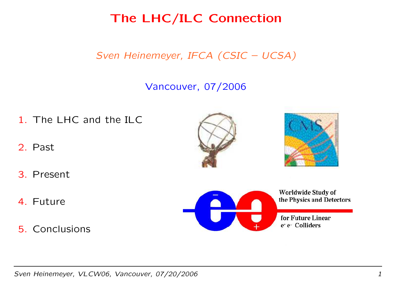The LHC/ILC Connection

Sven Heinemeyer, IFCA (CSIC – UCSA)

## Vancouver, 07/2006

- 1. The LHC and the ILC
- 2. Past
- 3. Present
- 4. Future
- 5. Conclusions







for Future Linear e<sup>+</sup> e<sup>-</sup> Colliders

Sven Heinemeyer, VLCW06, Vancouver, 07/20/2006 1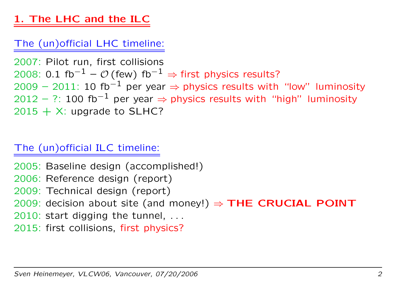# 1. The LHC and the ILC

## The (un)official LHC timeline:

2007: Pilot run, first collisions 2008: 0.1 fb $^{-1}$  –  $\mathcal{O}\left($  few $\right)$  fb $^{-1}$   $\Rightarrow$  first physics results? 2009 – 2011: 10 fb $^{-1}$  per year  $\Rightarrow$  physics results with "low" luminosity 2012 – ?: 100 fb $^{-1}$  per year  $\Rightarrow$  physics results with "high" luminosity  $2015 \, + \, \mathrm{X}$ : upgrade to <code>SLHC?</code>

## The (un)official ILC timeline:

2005: Baseline design (accomplished!) 2006: Reference design (report) 2009: Technical design (report) 2009: decision about site (and money!)  $\Rightarrow$  THE CRUCIAL POINT 2010: start digging the tunnel, . . . 2015: first collisions, first physics?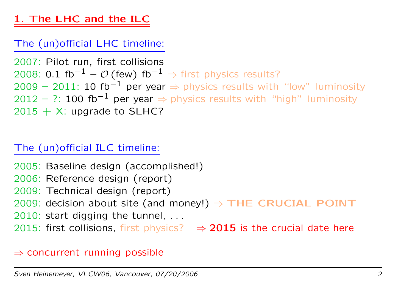# 1. The LHC and the ILC

## The (un)official LHC timeline:

2007: Pilot run, first collisions 2008: 0.1 fb $^{-1}$  –  ${\cal O}$  (few) fb $^{-1}$   $\Rightarrow$  first physics results? 2009 – 2011: 10 fb $^{-1}$  per year  $\Rightarrow$  physics results with "low" luminosity 2012 – ?: 100 fb $^{-1}$  per year  $\Rightarrow$  physics results with "high" luminosity  $2015 \, + \, \mathrm{X}$ : upgrade to <code>SLHC?</code>

## The (un)official ILC timeline:

2005: Baseline design (accomplished!) 2006: Reference design (report) 2009: Technical design (report) 2009: decision about site (and money!)  $\Rightarrow$  THE CRUCIAL POINT 2010: start digging the tunnel, . . . 2015: first collisions, first physics?  $\Rightarrow$  2015 is the crucial date here

#### $\Rightarrow$  concurrent running possible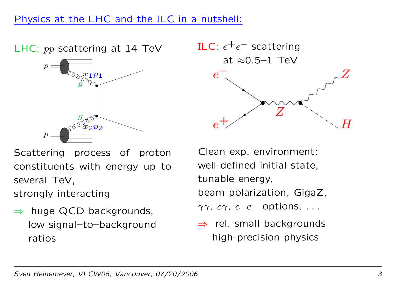LHC: pp scattering at 14 TeV





 $\Rightarrow$  huge QCD backgrounds, low signal–to–background ratios



Clean exp. environment: well-defined initial state, tunable energy, beam polarization, GigaZ,  $\gamma\gamma$ ,  $e\gamma$ ,  $e^{-}e$ − options, . . .

 $\Rightarrow$  rel. small backgrounds high-precision physics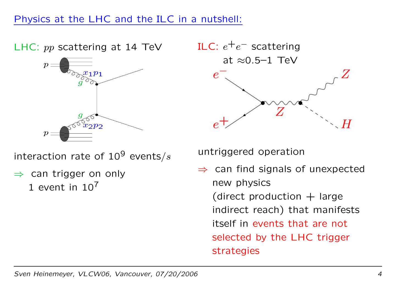### Physics at the LHC and the ILC in <sup>a</sup> nutshell:

LHC: pp scattering at 14 TeV



interaction rate of  $10^9$  events/ $s$ 

 $\Rightarrow$  can trigger on only

1 event in  $10<sup>7</sup>$ 



untriggered operation

 $\Rightarrow$  can find signals of unexpected new physics (direct production  $+$  large indirect reach) that manifests itself in events that are not selected by the LHC trigger strategies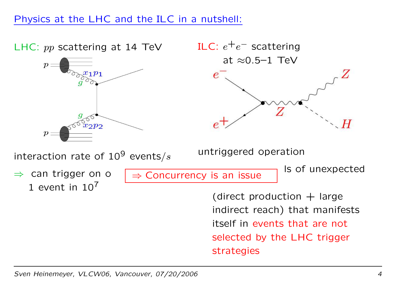### Physics at the LHC and the ILC in <sup>a</sup> nutshell:



Sven Heinemeyer, VLCW06, Vancouver, 07/20/2006 <sup>4</sup>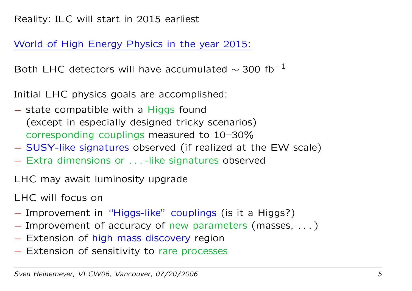World of High Energy Physics in the year 2015:

Both LHC detectors will have accumulated  $\sim$  300 fb $^{-1}$ 

Initial LHC physics goals are accomplished:

- − state compatible with a Higgs found (except in especially designed tricky scenarios) corresponding couplings measured to 10–30%
- SUSY-like signatures observed (if realized at the EW scale)
- − Extra dimensions or . . . -like signatures observed

LHC may await luminosity upgrade

LHC will focus on

- Improvement in "Higgs-like" couplings (is it a Higgs?)
- Improvement of accuracy of new parameters (masses, ...)
- − Extension of high mass discovery region
- − Extension of sensitivity to rare processes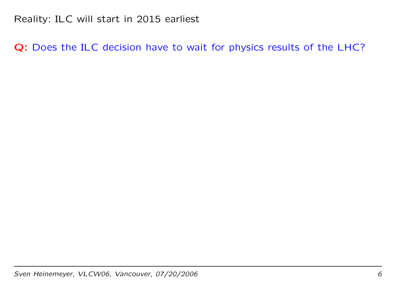Q: Does the ILC decision have to wait for physics results of the LHC?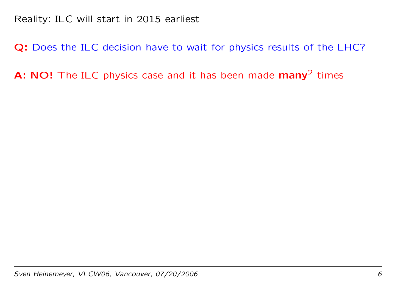Q: Does the ILC decision have to wait for physics results of the LHC?

A: NO! The ILC physics case and it has been made  $many^2$  times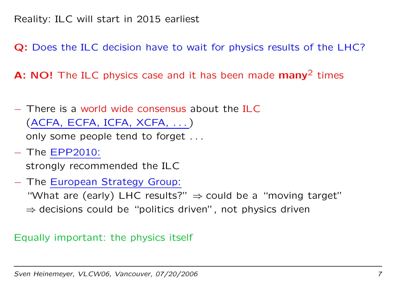Q: Does the ILC decision have to wait for physics results of the LHC?

A: NO! The ILC physics case and it has been made  $many^2$  times

- − There is a world wide consensus about the ILC (ACFA, ECFA, ICFA, XCFA, . . . ) only some people tend to forget . . .
- − The EPP2010:

strongly recommended the ILC

− The European Strategy Group:

"What are (early) <code>LHC</code> results?"  $\Rightarrow$  could be a "moving target"

 $\Rightarrow$  decisions could be "politics driven", not physics driven

#### Equally important: the physics itself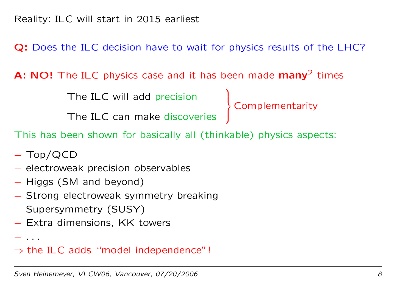Q: Does the ILC decision have to wait for physics results of the LHC?

A: NO! The ILC physics case and it has been made  $many^2$  times

The ILC will add precision

The ILC will add precision<br>
The ILC can make discoveries

This has been shown for basically all (thinkable) physics aspects:

- Top/QCD
- − electroweak precision observables
- Higgs (SM and beyond)
- − Strong electroweak symmetry breaking
- Supersymmetry (SUSY)
- − Extra dimensions, KK towers

. . .

 $\Rightarrow$  the ILC adds "model independence"!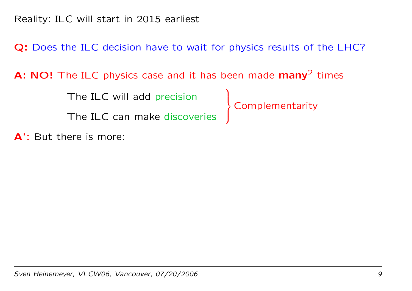Q: Does the ILC decision have to wait for physics results of the LHC?

A: NO! The ILC physics case and it has been made  $many^2$  times

The ILC will add precision

The ILC will add precision<br>
The ILC can make discoveries

**A':** But there is more:

Sven Heinemeyer, VLCW06, Vancouver, 07/20/2006 9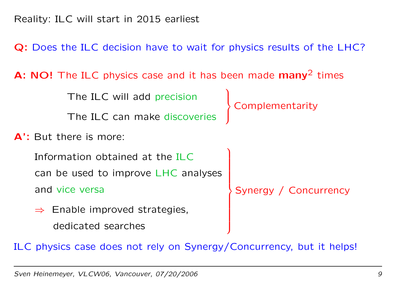Q: Does the ILC decision have to wait for physics results of the LHC?

A: NO! The ILC physics case and it has been made  $many^2$  times

The ILC will add precision

The ILC can make discoveries

**A':** But there is more:

Information obtained at the ILCcan be used to improve LHC analyses

and vice versa

 $\Rightarrow$  Enable improved strategies, dedicated searches

Complementarity

Synergy / Concurrency

ILC physics case does not rely on Synergy/Concurrency, but it helps!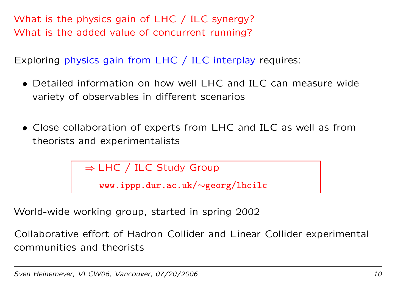What is the physics gain of LHC / ILC synergy? What is the added value of concurrent running?

Exploring physics gain from LHC / ILC interplay requires:

- Detailed information on how well LHC and ILC can measure wide variety of observables in different scenarios
- Close collaboration of experts from LHC and ILC as well as from theorists and experimentalists

 $\Rightarrow$  LHC / ILC Study Group

www.ippp.dur.ac.uk/∼georg/lhcilc

World-wide working group, started in spring 2002

Collaborative effort of Hadron Collider and Linear Collider experimental communities and theorists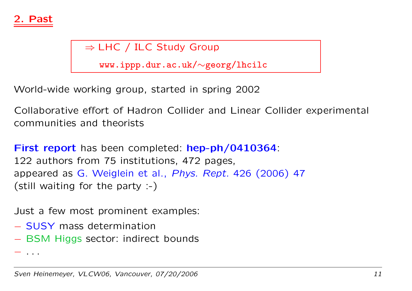

⇒ LHC / ILC Study Group

www.ippp.dur.ac.uk/∼georg/lhcilc

World-wide working group, started in spring 2002

Collaborative effort of Hadron Collider and Linear Collider experimental communities and theorists

First report has been completed: hep-ph/0410364. 122 authors from 75 institutions, 472 pages, appeared as G. Weiglein et al., Phys. Rept. 426 (2006) <sup>47</sup> (still waiting for the party :-)

Just a few most prominent examples:

- − SUSY mass determination
- − BSM Higgs sector: indirect bounds

. .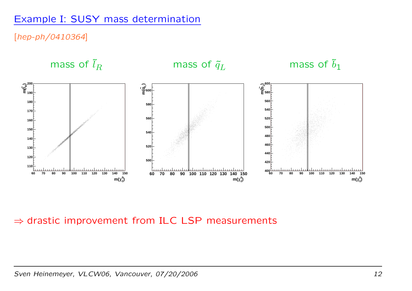### Example I: SUSY mass determination

#### [hep-ph/0410364]



#### $\Rightarrow$  drastic improvement from ILC LSP measurements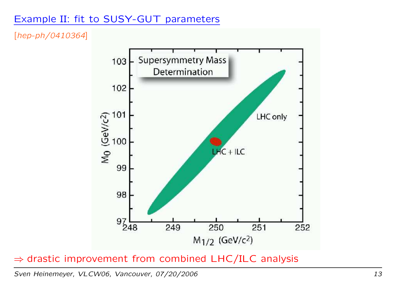### Example II: fit to SUSY-GUT parameters

[hep-ph/0410364]



#### $\Rightarrow$  drastic improvement from combined LHC/ILC analysis

Sven Heinemeyer, VLCW06, Vancouver, 07/20/2006 13 and the control of the control of the control of the control o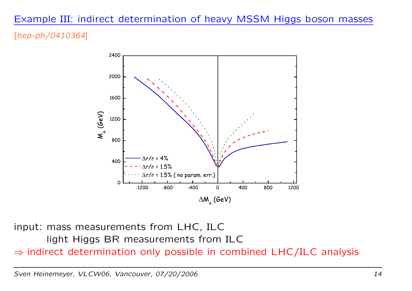# Example III: indirect determination of heavy MSSM Higgs boson masses

#### [hep-ph/0410364]



input: mass measurements from LHC, ILC light Higgs BR measurements from ILC  $\Rightarrow$  indirect determination only possible in combined LHC/ILC analysis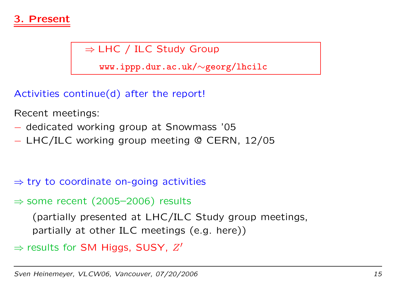

## $\Rightarrow$  LHC / ILC Study Group

www.ippp.dur.ac.uk/∼georg/lhcilc

Activities continue(d) after the report!

Recent meetings:

- − dedicated working group at Snowmass '05
- LHC/ILC working group meeting @ CERN, 12/05

 $\Rightarrow$  try to coordinate on-going activities

#### $\Rightarrow$  some recent (2005–2006) results

(partially presented at LHC/ILC Study group meetings, partially at other ILC meetings (e.g. here))

 $\Rightarrow$  results for SM Higgs, SUSY,  $Z'$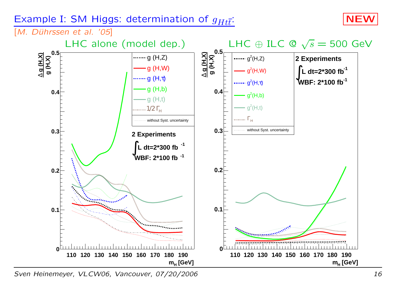### Example I: SM Higgs: determination of  $g_{Ht\bar{t}}$ : NEW





Sven Heinemeyer, VLCW06, Vancouver, 07/20/2006 16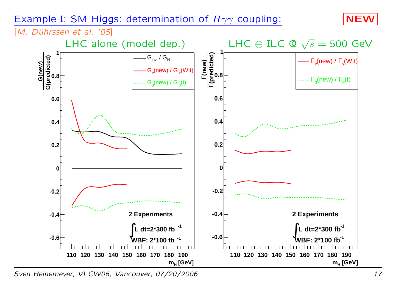#### Example I: SM Higgs: determination of  $H\gamma\gamma$  coupling:  $\blacksquare$  NEW



[M. Dührssen et al. '05]



Sven Heinemeyer, VLCW06, Vancouver, 07/20/2006 17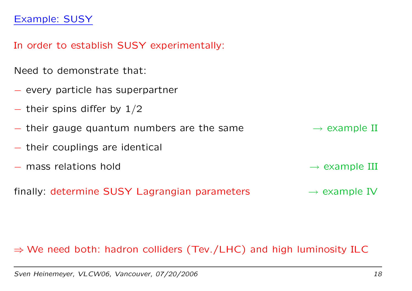#### Example: SUSY

In order to establish SUSY experimentally:

Need to demonstrate that:

- − every particle has superpartner
- $-$  their spins differ by  $1/2$
- $-$  their gauge quantum numbers are the same  $\longrightarrow$  example II
- − their couplings are identical
- − mass relations hold <sup>→</sup>

finally: determine SUSY Lagrangian parameters  $\rightarrow$  example IV

#### $\Rightarrow$  We need both: hadron colliders (Tev./LHC) and high luminosity ILC

 $\rightarrow$  example III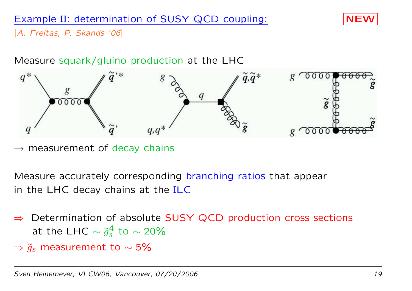## Example II: determination of SUSY QCD coupling:  $|NEV|$



[A. Freitas, P. Skands '06]

#### Measure squark/gluino production at the LHC



 $\rightarrow$  measurement of decay chains

Measure accurately corresponding branching ratios that appear in the LHC decay chains at the ILC

- $\Rightarrow$  Determination of absolute SUSY QCD production cross sections at the LHC  $\sim \tilde{g}_s^4$  to  $\sim$  20%
- ⇒ ˜ $\tilde{g}_s$  measurement to  $\sim$  5%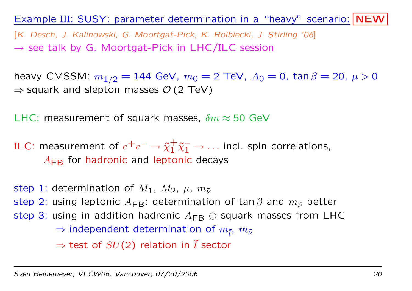### Example III: SUSY: parameter determination in a "heavy" scenario: NEW

[K. Desch, J. Kalinowski, G. Moortgat-Pick, K. Rolbiecki, J. Stirling '06]  $\rightarrow$  see talk by G. Moortgat-Pick in LHC/ILC session

heavy CMSSM:  $m_{1/2} = 144$  GeV,  $m_0 = 2$  TeV,  $A_0 = 0$ ,  $\tan \beta = 20$ ,  $\mu > 0$  $\Rightarrow$  squark and slepton masses  $\mathcal{O}\left( 2\text{ TeV}\right)$ 

LHC: measurement of squark masses,  $\delta m \approx 50$  GeV

ILC: measurement of  $e^+e^-\rightarrow\tilde{\chi}^+_1\tilde{\chi}^-_1\rightarrow\dots$  incl. spin correlations,  $A_\mathsf{FB}$  for hadronic and leptonic decays

step 1: determination of  $M_1$ ,  $M_2$ ,  $\mu$ ,  $m_{\tilde{\nu}}$ step 2: using leptonic  $A_{\mathsf{FB}}$ : determination of tan $\beta$  and  $m_{\tilde \nu}$  better step 3: using in addition hadronic  $A_\mathsf{FB}\,\oplus$  squark masses from <code>LHC</code>  $\Rightarrow$  independent determination of  $m_{\tilde{l}}$ ,  $m_{\tilde{\nu}}$  $\Rightarrow$  test of  $SU(2)$  relation in  $\tilde{l}$  sector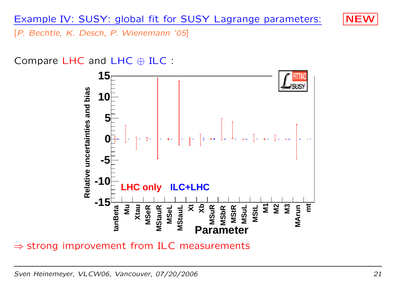

[P. Bechtle, K. Desch, P. Wienemann '05]

Compare LHC and LHC ⊕ ILC :



 $\Rightarrow$  strong improvement from ILC measurements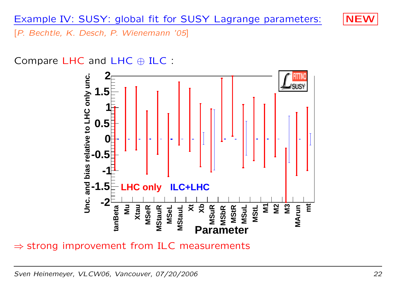

[P. Bechtle, K. Desch, P. Wienemann '05]

Compare LHC and LHC ⊕ ILC :



 $\Rightarrow$  strong improvement from ILC measurements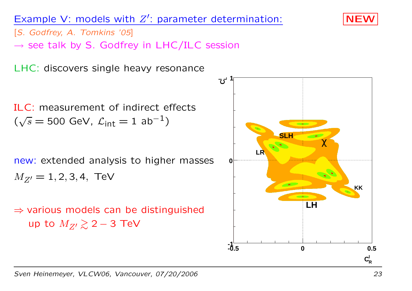## Example V: models with  $Z'$ : parameter determination:  $\blacksquare$  NEV

[S. Godfrey, A. Tomkins '05]

 $\rightarrow$  see talk by S. Godfrey in LHC/ILC session

LHC: discovers single heavy resonance

ILC: measurement of indirect effects $(\sqrt{s}=$  500 GeV,  $\mathcal{L}_{\mathsf{int}} = 1\,\, \mathsf{ab^{-1}})$ 

new: extended analysis to higher masses  $M_{Z'} = 1, 2, 3, 4, \text{ TeV}$ 

 $\Rightarrow$  various models can be distinguished up to  $M_{Z'} \gtrsim 2 - 3$  TeV



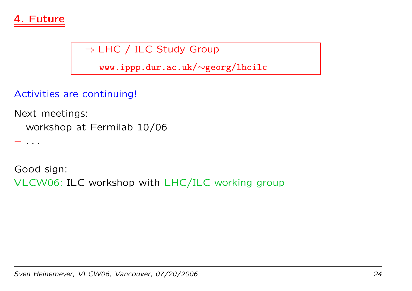

# $\Rightarrow$  LHC / ILC Study Group

www.ippp.dur.ac.uk/∼georg/lhcilc

Activities are continuing!

Next meetings:

workshop at Fermilab 10/06

. .

Good sign:

VLCW06: ILC workshop with LHC/ILC working group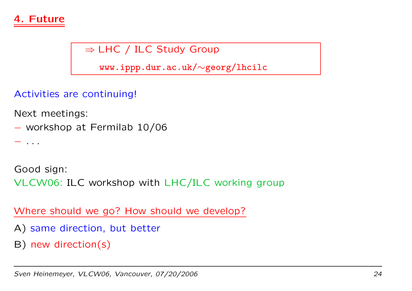

# $\Rightarrow$  LHC / ILC Study Group

www.ippp.dur.ac.uk/∼georg/lhcilc

Activities are continuing!

Next meetings:

workshop at Fermilab 10/06

. .

Good sign:

VLCW06: ILC workshop with LHC/ILC working group

Where should we go? How should we develop?

- A) same direction, but better
- B) new direction(s)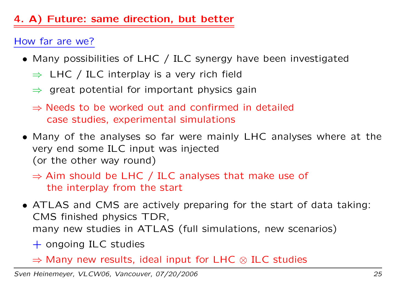# 4. A) Future: same direction, but better

## How far are we?

- Many possibilities of LHC / ILC synergy have been investigated
	- $\Rightarrow$  LHC / ILC interplay is a very rich field
	- $\Rightarrow$  great potential for important physics gain
	- $\Rightarrow$  Needs to be worked out and confirmed in detailed case studies, experimental simulations
- Many of the analyses so far were mainly LHC analyses where at the very end some ILC input was injected (or the other way round)

 $\Rightarrow$  Aim should be LHC / ILC analyses that make use of the interplay from the start

- ATLAS and CMS are actively preparing for the start of data taking: CMS finished physics TDR, many new studies in ATLAS (full simulations, new scenarios)
	- $+$  ongoing ILC studies
	- $\Rightarrow$  Many new results, ideal input for LHC  $\otimes$  ILC studies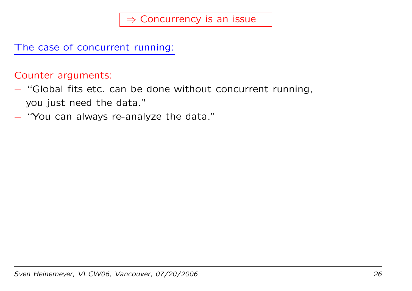The case of concurrent running:

Counter arguments:

- − "Global fits etc. can be done without concurrent running, you just need the data."
- "You can always re-analyze the data."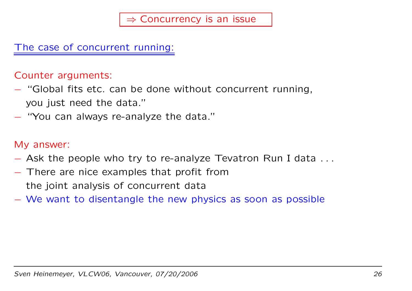The case of concurrent running:

Counter arguments:

- − "Global fits etc. can be done without concurrent running, you just need the data."
- − "You can always re-analyze the data."

#### My answer:

- − Ask the people who try to re-analyze Tevatron Run I data . . .
- − There are nice examples that profit from the joint analysis of concurrent data
- − We want to disentangle the new physics as soon as possible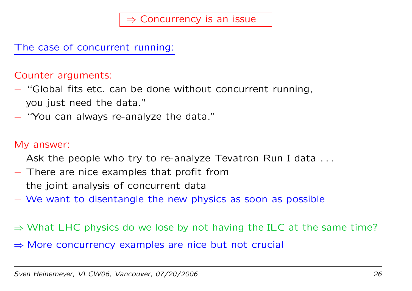The case of concurrent running:

#### Counter arguments:

- − "Global fits etc. can be done without concurrent running, you just need the data."
- − "You can always re-analyze the data."

#### My answer:

- − Ask the people who try to re-analyze Tevatron Run I data . . .
- − There are nice examples that profit from the joint analysis of concurrent data
- − We want to disentangle the new physics as soon as possible
- $\Rightarrow$  What LHC physics do we lose by not having the ILC at the same time?
- $\Rightarrow$  More concurrency examples are nice but not crucial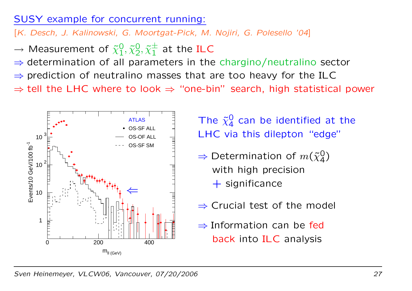### SUSY example for concurrent running:

[K. Desch, J. Kalinowski, G. Moortgat-Pick, M. Nojiri, G. Polesello '04]

- $\longrightarrow$  $\rightarrow$  Measurement of  $\tilde{\chi}^0_1, \tilde{\chi}^0_2, \tilde{\chi}^\pm_1$  at the ILC
- $\Rightarrow$  determination of all parameters in the chargino/neutralino sector
- $\Rightarrow$  prediction of neutralino masses that are too heavy for the ILC
- $\Rightarrow$  tell the LHC where to look  $\Rightarrow$  "one-bin" search, high statistical power



The  $\tilde{\chi}^0_4$  can be identified at the LHC via this dilepton "edge"

- $\Rightarrow$  Determination of  $m({\tilde\chi}_4^0)$ with high precision  $+$  significance
- $\Rightarrow$  Crucial test of the model
- $\Rightarrow$  Information can be fed back into ILC analysis

Sven Heinemeyer, VLCW06, Vancouver, 07/20/2006 27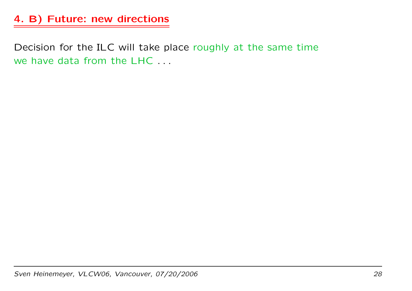# 4. B) Future: new directions

Decision for the ILC will take place roughly at the same time we have data from the LHC . . .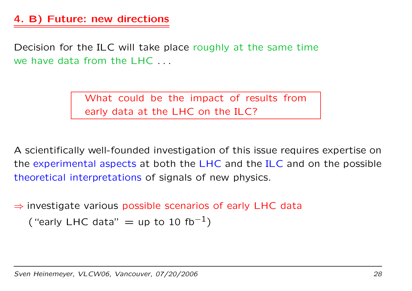## 4. B) Future: new directions

Decision for the ILC will take place roughly at the same time we have data from the LHC . . .

> What could be the impact of results from early data at the LHC on the ILC?

A scientifically well-founded investigation of this issue requires expertise on the experimental aspects at both the LHC and the ILC and on the possible theoretical interpretations of signals of new physics.

 $\Rightarrow$  investigate various possible scenarios of early LHC data

("early LHC data" = up to 10 fb<sup>-1</sup>)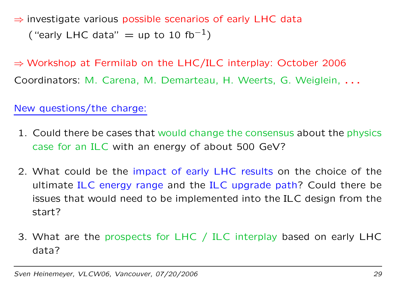$\Rightarrow$  investigate various possible scenarios of early LHC data ("early LHC data" = up to 10 fb<sup>-1</sup>)

⇒ Workshop at Fermilab on the LHC/ILC interplay: October 2006 Coordinators: M. Carena, M. Demarteau, H. Weerts, G. Weiglein, . . .

New questions/the charge:

- 1. Could there be cases that would change the consensus about the physics case for an ILC with an energy of about 500 GeV?
- 2. What could be the impact of early LHC results on the choice of the ultimate ILC energy range and the ILC upgrade path? Could there be issues that would need to be implemented into the ILC design from the start?
- 3. What are the prospects for LHC / ILC interplay based on early LHC data?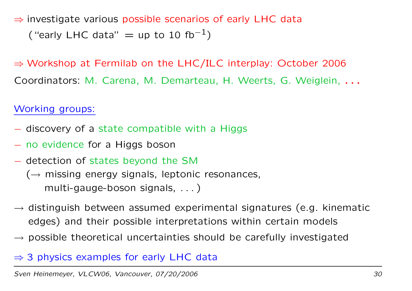$\Rightarrow$  investigate various possible scenarios of early LHC data ("early LHC data" = up to 10 fb<sup>-1</sup>)

⇒ Workshop at Fermilab on the LHC/ILC interplay: October 2006 Coordinators: M. Carena, M. Demarteau, H. Weerts, G. Weiglein, . . .

Working groups:

- − discovery of <sup>a</sup> state compatible with <sup>a</sup> Higgs
- − no evidence for <sup>a</sup> Higgs boson
- − detection of states beyond the SM
	- $(\rightarrow$  missing energy signals, leptonic resonances, multi-gauge-boson signals, . . . )
- $\rightarrow$  distinguish between assumed experimental signatures (e.g. kinematic edges) and their possible interpretations within certain models
- $\rightarrow$  possible theoretical uncertainties should be carefully investigated

## $\Rightarrow$  3 physics examples for early LHC data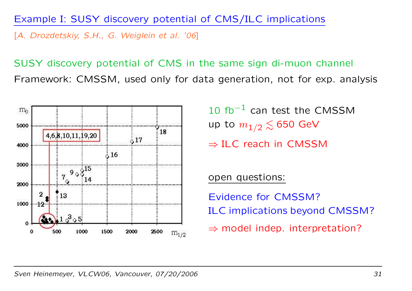#### Example I: SUSY discovery potential of CMS/ILC implications

[A. Drozdetskiy, S.H., G. Weiglein et al. '06]

SUSY discovery potential of CMS in the same sign di-muon channel Framework: CMSSM, used only for data generation, not for exp. analysis



 $10$  fb $^{-1}$  can test the CMSSM up to  $m_{1/2} \lesssim 650$  GeV

 $\Rightarrow$  ILC reach in CMSSM

open questions:

Evidence for CMSSM?ILC implications beyond CMSSM?

 $\Rightarrow$  model indep. interpretation?

Sven Heinemeyer, VLCW06, Vancouver, 07/20/2006 31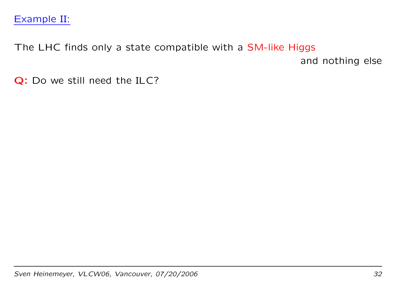### Example II:

The LHC finds only <sup>a</sup> state compatible with <sup>a</sup> SM-like Higgs

and nothing else

Q: Do we still need the ILC?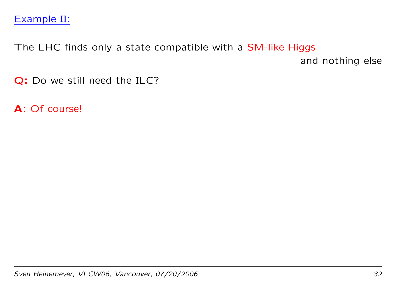### Example II:

The LHC finds only <sup>a</sup> state compatible with <sup>a</sup> SM-like Higgs

and nothing else

Q: Do we still need the ILC?

**A**: Of course!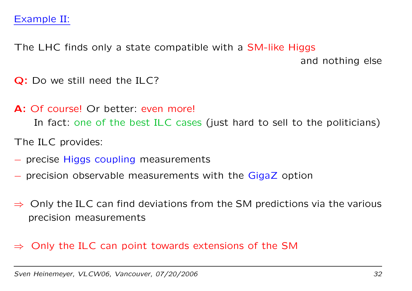The LHC finds only <sup>a</sup> state compatible with <sup>a</sup> SM-like Higgs

and nothing else

Q: Do we still need the ILC?

- **A:** Of course! Or better: even more! In fact: one of the best ILC cases (just hard to sell to the politicians)
- The ILC provides:
- − precise Higgs coupling measurements
- − precision observable measurements with the GigaZ option
- $\Rightarrow$  Only the ILC can find deviations from the SM predictions via the various precision measurements

## $\Rightarrow$  Only the ILC can point towards extensions of the SM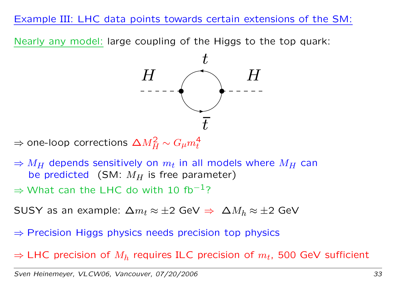### Example III: LHC data points towards certain extensions of the SM:

Nearly any model: large coupling of the Higgs to the top quark:



 $\Rightarrow$  one-loop corrections  $\Delta M_H^2 \sim G_\mu m_t^4$ 

 $\Rightarrow$   $M_H$  depends sensitively on  $m_t$  in all models where  $M_H$  can be predicted (SM:  $M_H$  is free parameter)

 $\Rightarrow$  What can the LHC do with 10 fb $^{-1}$ ?

<code>SUSY</code> as an example:  $\Delta m_t \approx \pm 2$  GeV  $\Rightarrow$   $~\Delta M_h \approx \pm 2$  GeV

 $\Rightarrow$  Precision Higgs physics needs precision top physics

 $\Rightarrow$  LHC precision of  $M_h$  requires ILC precision of  $m_t$ , 500 GeV sufficient